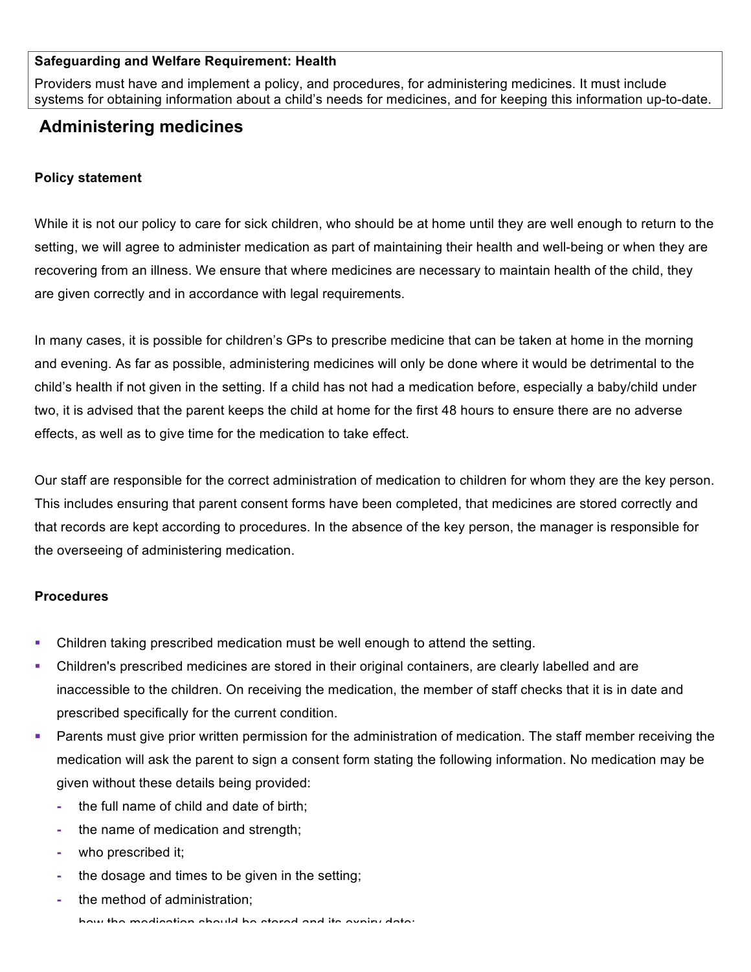### **Safeguarding and Welfare Requirement: Health**

Providers must have and implement a policy, and procedures, for administering medicines. It must include systems for obtaining information about a child's needs for medicines, and for keeping this information up-to-date.

# **Administering medicines**

## **Policy statement**

While it is not our policy to care for sick children, who should be at home until they are well enough to return to the setting, we will agree to administer medication as part of maintaining their health and well-being or when they are recovering from an illness. We ensure that where medicines are necessary to maintain health of the child, they are given correctly and in accordance with legal requirements.

In many cases, it is possible for children's GPs to prescribe medicine that can be taken at home in the morning and evening. As far as possible, administering medicines will only be done where it would be detrimental to the child's health if not given in the setting. If a child has not had a medication before, especially a baby/child under two, it is advised that the parent keeps the child at home for the first 48 hours to ensure there are no adverse effects, as well as to give time for the medication to take effect.

Our staff are responsible for the correct administration of medication to children for whom they are the key person. This includes ensuring that parent consent forms have been completed, that medicines are stored correctly and that records are kept according to procedures. In the absence of the key person, the manager is responsible for the overseeing of administering medication.

#### **Procedures**

- Children taking prescribed medication must be well enough to attend the setting.
- Children's prescribed medicines are stored in their original containers, are clearly labelled and are inaccessible to the children. On receiving the medication, the member of staff checks that it is in date and prescribed specifically for the current condition.
- **•** Parents must give prior written permission for the administration of medication. The staff member receiving the medication will ask the parent to sign a consent form stating the following information. No medication may be given without these details being provided:
	- **-** the full name of child and date of birth;
	- **-** the name of medication and strength;
	- **-** who prescribed it;
	- **-** the dosage and times to be given in the setting;
	- **-** the method of administration;

**-** how the medication should be stored and its expiry date;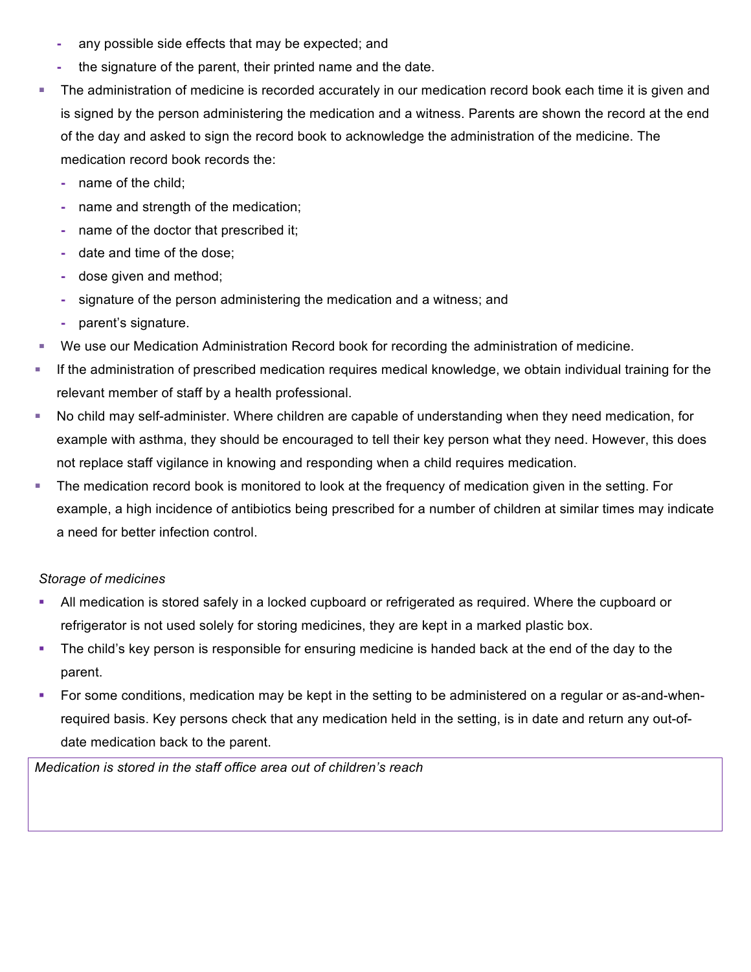- **-** any possible side effects that may be expected; and
- **-** the signature of the parent, their printed name and the date.
- § The administration of medicine is recorded accurately in our medication record book each time it is given and is signed by the person administering the medication and a witness. Parents are shown the record at the end of the day and asked to sign the record book to acknowledge the administration of the medicine. The medication record book records the:
	- **-** name of the child;
	- **-** name and strength of the medication;
	- **-** name of the doctor that prescribed it;
	- **-** date and time of the dose;
	- **-** dose given and method;
	- **-** signature of the person administering the medication and a witness; and
	- **-** parent's signature.
- We use our Medication Administration Record book for recording the administration of medicine.
- **If the administration of prescribed medication requires medical knowledge, we obtain individual training for the** relevant member of staff by a health professional.
- No child may self-administer. Where children are capable of understanding when they need medication, for example with asthma, they should be encouraged to tell their key person what they need. However, this does not replace staff vigilance in knowing and responding when a child requires medication.
- The medication record book is monitored to look at the frequency of medication given in the setting. For example, a high incidence of antibiotics being prescribed for a number of children at similar times may indicate a need for better infection control.

#### *Storage of medicines*

- All medication is stored safely in a locked cupboard or refrigerated as required. Where the cupboard or refrigerator is not used solely for storing medicines, they are kept in a marked plastic box.
- The child's key person is responsible for ensuring medicine is handed back at the end of the day to the parent.
- For some conditions, medication may be kept in the setting to be administered on a regular or as-and-whenrequired basis. Key persons check that any medication held in the setting, is in date and return any out-ofdate medication back to the parent.

*Medication is stored in the staff office area out of children's reach*